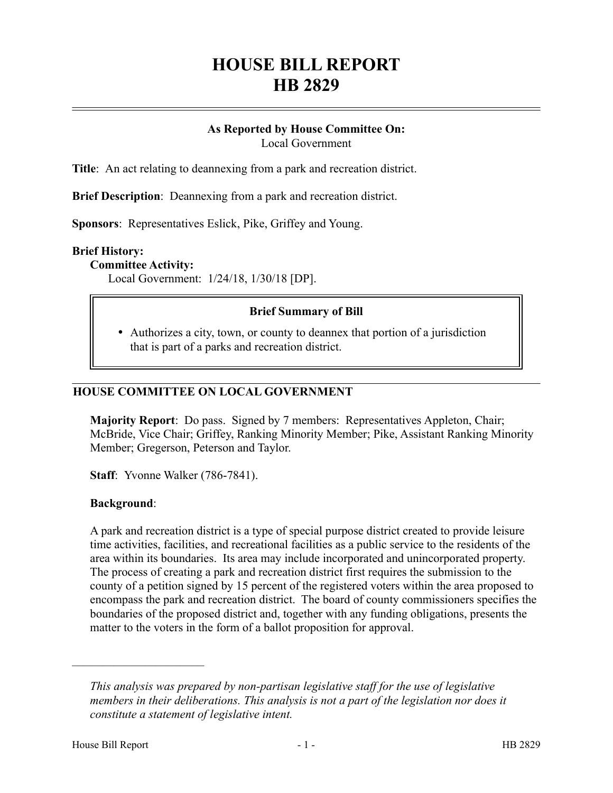# **HOUSE BILL REPORT HB 2829**

## **As Reported by House Committee On:**

Local Government

**Title**: An act relating to deannexing from a park and recreation district.

**Brief Description**: Deannexing from a park and recreation district.

**Sponsors**: Representatives Eslick, Pike, Griffey and Young.

#### **Brief History:**

**Committee Activity:**

Local Government: 1/24/18, 1/30/18 [DP].

## **Brief Summary of Bill**

 Authorizes a city, town, or county to deannex that portion of a jurisdiction that is part of a parks and recreation district.

## **HOUSE COMMITTEE ON LOCAL GOVERNMENT**

**Majority Report**: Do pass. Signed by 7 members: Representatives Appleton, Chair; McBride, Vice Chair; Griffey, Ranking Minority Member; Pike, Assistant Ranking Minority Member; Gregerson, Peterson and Taylor.

**Staff**: Yvonne Walker (786-7841).

#### **Background**:

A park and recreation district is a type of special purpose district created to provide leisure time activities, facilities, and recreational facilities as a public service to the residents of the area within its boundaries. Its area may include incorporated and unincorporated property. The process of creating a park and recreation district first requires the submission to the county of a petition signed by 15 percent of the registered voters within the area proposed to encompass the park and recreation district. The board of county commissioners specifies the boundaries of the proposed district and, together with any funding obligations, presents the matter to the voters in the form of a ballot proposition for approval.

––––––––––––––––––––––

*This analysis was prepared by non-partisan legislative staff for the use of legislative members in their deliberations. This analysis is not a part of the legislation nor does it constitute a statement of legislative intent.*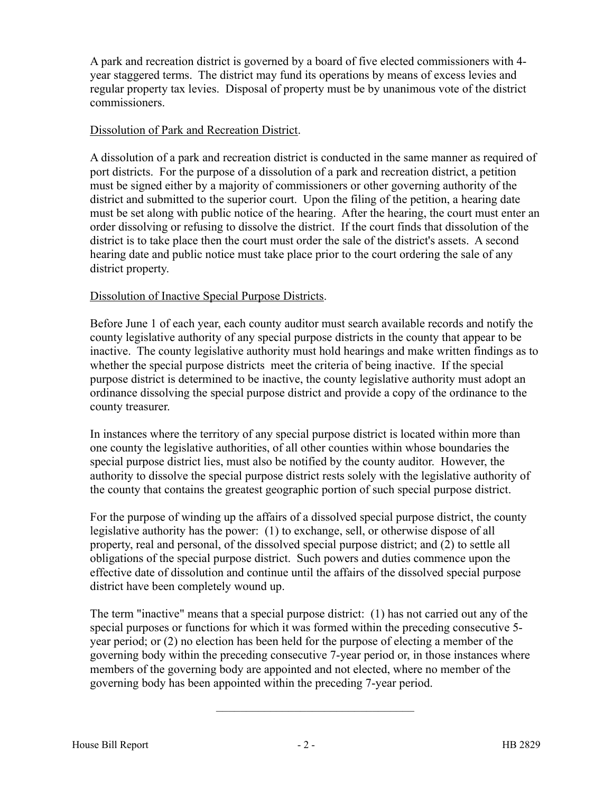A park and recreation district is governed by a board of five elected commissioners with 4 year staggered terms. The district may fund its operations by means of excess levies and regular property tax levies. Disposal of property must be by unanimous vote of the district commissioners.

## Dissolution of Park and Recreation District.

A dissolution of a park and recreation district is conducted in the same manner as required of port districts. For the purpose of a dissolution of a park and recreation district, a petition must be signed either by a majority of commissioners or other governing authority of the district and submitted to the superior court. Upon the filing of the petition, a hearing date must be set along with public notice of the hearing. After the hearing, the court must enter an order dissolving or refusing to dissolve the district. If the court finds that dissolution of the district is to take place then the court must order the sale of the district's assets. A second hearing date and public notice must take place prior to the court ordering the sale of any district property.

## Dissolution of Inactive Special Purpose Districts.

Before June 1 of each year, each county auditor must search available records and notify the county legislative authority of any special purpose districts in the county that appear to be inactive. The county legislative authority must hold hearings and make written findings as to whether the special purpose districts meet the criteria of being inactive. If the special purpose district is determined to be inactive, the county legislative authority must adopt an ordinance dissolving the special purpose district and provide a copy of the ordinance to the county treasurer.

In instances where the territory of any special purpose district is located within more than one county the legislative authorities, of all other counties within whose boundaries the special purpose district lies, must also be notified by the county auditor. However, the authority to dissolve the special purpose district rests solely with the legislative authority of the county that contains the greatest geographic portion of such special purpose district.

For the purpose of winding up the affairs of a dissolved special purpose district, the county legislative authority has the power: (1) to exchange, sell, or otherwise dispose of all property, real and personal, of the dissolved special purpose district; and (2) to settle all obligations of the special purpose district. Such powers and duties commence upon the effective date of dissolution and continue until the affairs of the dissolved special purpose district have been completely wound up.

The term "inactive" means that a special purpose district: (1) has not carried out any of the special purposes or functions for which it was formed within the preceding consecutive 5 year period; or (2) no election has been held for the purpose of electing a member of the governing body within the preceding consecutive 7-year period or, in those instances where members of the governing body are appointed and not elected, where no member of the governing body has been appointed within the preceding 7-year period.

–––––––––––––––––––––––––––––––––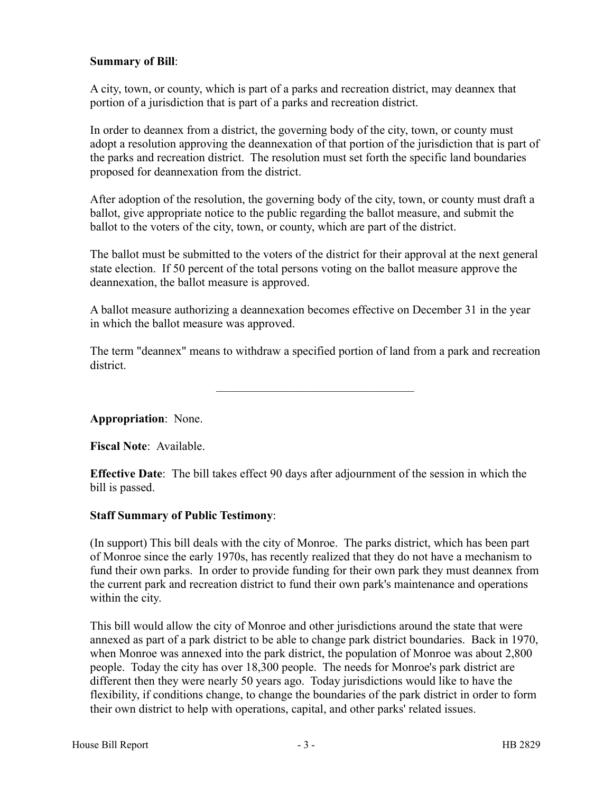## **Summary of Bill**:

A city, town, or county, which is part of a parks and recreation district, may deannex that portion of a jurisdiction that is part of a parks and recreation district.

In order to deannex from a district, the governing body of the city, town, or county must adopt a resolution approving the deannexation of that portion of the jurisdiction that is part of the parks and recreation district. The resolution must set forth the specific land boundaries proposed for deannexation from the district.

After adoption of the resolution, the governing body of the city, town, or county must draft a ballot, give appropriate notice to the public regarding the ballot measure, and submit the ballot to the voters of the city, town, or county, which are part of the district.

The ballot must be submitted to the voters of the district for their approval at the next general state election. If 50 percent of the total persons voting on the ballot measure approve the deannexation, the ballot measure is approved.

A ballot measure authorizing a deannexation becomes effective on December 31 in the year in which the ballot measure was approved.

The term "deannex" means to withdraw a specified portion of land from a park and recreation district.

–––––––––––––––––––––––––––––––––

**Appropriation**: None.

**Fiscal Note**: Available.

**Effective Date**: The bill takes effect 90 days after adjournment of the session in which the bill is passed.

#### **Staff Summary of Public Testimony**:

(In support) This bill deals with the city of Monroe. The parks district, which has been part of Monroe since the early 1970s, has recently realized that they do not have a mechanism to fund their own parks. In order to provide funding for their own park they must deannex from the current park and recreation district to fund their own park's maintenance and operations within the city.

This bill would allow the city of Monroe and other jurisdictions around the state that were annexed as part of a park district to be able to change park district boundaries. Back in 1970, when Monroe was annexed into the park district, the population of Monroe was about 2,800 people. Today the city has over 18,300 people. The needs for Monroe's park district are different then they were nearly 50 years ago. Today jurisdictions would like to have the flexibility, if conditions change, to change the boundaries of the park district in order to form their own district to help with operations, capital, and other parks' related issues.